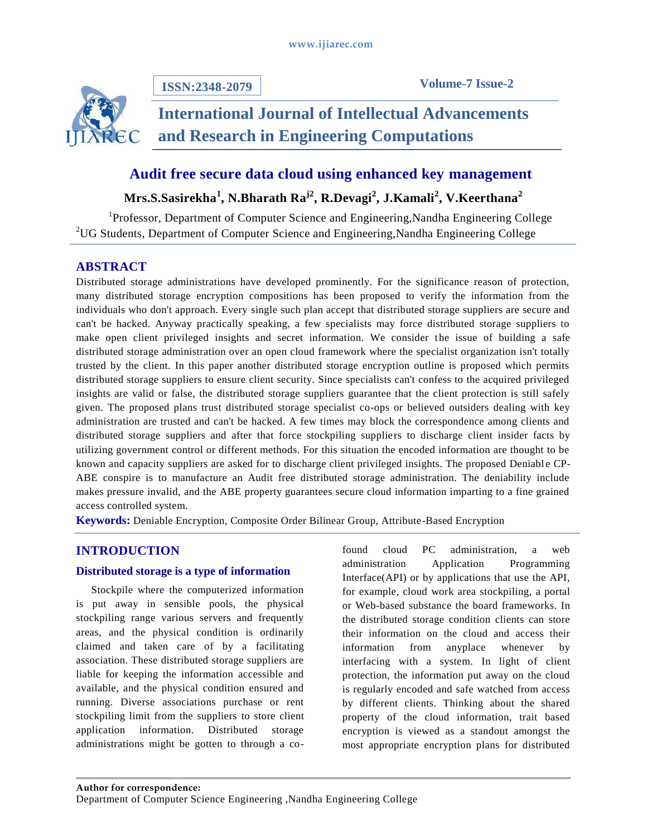

**ISSN:2348-2079**

**Volume-7 Issue-2**

# **International Journal of Intellectual Advancements and Research in Engineering Computations**

## **Audit free secure data cloud using enhanced key management**

**Mrs.S.Sasirekha<sup>1</sup> , N.Bharath Raj2, R.Devagi<sup>2</sup> , J.Kamali<sup>2</sup> , V.Keerthana<sup>2</sup>**

<sup>1</sup>Professor, Department of Computer Science and Engineering, Nandha Engineering College <sup>2</sup>UG Students, Department of Computer Science and Engineering,Nandha Engineering College

## **ABSTRACT**

Distributed storage administrations have developed prominently. For the significance reason of protection, many distributed storage encryption compositions has been proposed to verify the information from the individuals who don't approach. Every single such plan accept that distributed storage suppliers are secure and can't be hacked. Anyway practically speaking, a few specialists may force distributed storage suppliers to make open client privileged insights and secret information. We consider the issue of building a safe distributed storage administration over an open cloud framework where the specialist organization isn't totally trusted by the client. In this paper another distributed storage encryption outline is proposed which permits distributed storage suppliers to ensure client security. Since specialists can't confess to the acquired privileged insights are valid or false, the distributed storage suppliers guarantee that the client protection is still safely given. The proposed plans trust distributed storage specialist co-ops or believed outsiders dealing with key administration are trusted and can't be hacked. A few times may block the correspondence among clients and distributed storage suppliers and after that force stockpiling suppliers to discharge client insider facts by utilizing government control or different methods. For this situation the encoded information are thought to be known and capacity suppliers are asked for to discharge client privileged insights. The proposed Deniabl e CP-ABE conspire is to manufacture an Audit free distributed storage administration. The deniability include makes pressure invalid, and the ABE property guarantees secure cloud information imparting to a fine grained access controlled system.

**Keywords:** Deniable Encryption, Composite Order Bilinear Group, Attribute-Based Encryption

## **INTRODUCTION**

#### **Distributed storage is a type of information**

Stockpile where the computerized information is put away in sensible pools, the physical stockpiling range various servers and frequently areas, and the physical condition is ordinarily claimed and taken care of by a facilitating association. These distributed storage suppliers are liable for keeping the information accessible and available, and the physical condition ensured and running. Diverse associations purchase or rent stockpiling limit from the suppliers to store client application information. Distributed storage administrations might be gotten to through a cofound cloud PC administration, a web administration Application Programming Interface(API) or by applications that use the API, for example, cloud work area stockpiling, a portal or Web-based substance the board frameworks. In the distributed storage condition clients can store their information on the cloud and access their information from anyplace whenever by interfacing with a system. In light of client protection, the information put away on the cloud is regularly encoded and safe watched from access by different clients. Thinking about the shared property of the cloud information, trait based encryption is viewed as a standout amongst the most appropriate encryption plans for distributed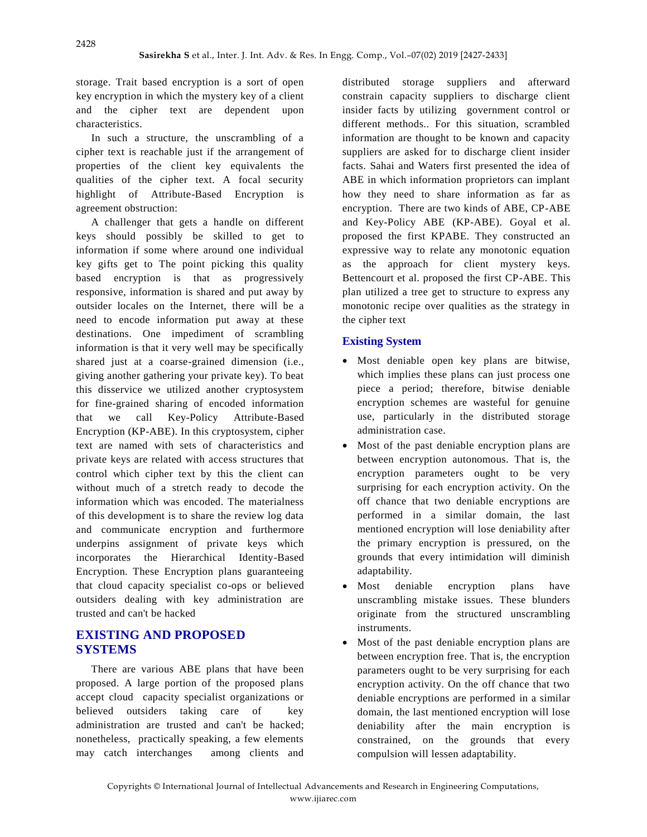storage. Trait based encryption is a sort of open key encryption in which the mystery key of a client and the cipher text are dependent upon characteristics.

In such a structure, the unscrambling of a cipher text is reachable just if the arrangement of properties of the client key equivalents the qualities of the cipher text. A focal security highlight of Attribute-Based Encryption is agreement obstruction:

A challenger that gets a handle on different keys should possibly be skilled to get to information if some where around one individual key gifts get to The point picking this quality based encryption is that as progressively responsive, information is shared and put away by outsider locales on the Internet, there will be a need to encode information put away at these destinations. One impediment of scrambling information is that it very well may be specifically shared just at a coarse-grained dimension (i.e., giving another gathering your private key). To beat this disservice we utilized another cryptosystem for fine-grained sharing of encoded information that we call Key-Policy Attribute-Based Encryption (KP-ABE). In this cryptosystem, cipher text are named with sets of characteristics and private keys are related with access structures that control which cipher text by this the client can without much of a stretch ready to decode the information which was encoded. The materialness of this development is to share the review log data and communicate encryption and furthermore underpins assignment of private keys which incorporates the Hierarchical Identity-Based Encryption. These Encryption plans guaranteeing that cloud capacity specialist co-ops or believed outsiders dealing with key administration are trusted and can't be hacked

## **EXISTING AND PROPOSED SYSTEMS**

There are various ABE plans that have been proposed. A large portion of the proposed plans accept cloud capacity specialist organizations or believed outsiders taking care of key administration are trusted and can't be hacked; nonetheless, practically speaking, a few elements may catch interchanges among clients and distributed storage suppliers and afterward constrain capacity suppliers to discharge client insider facts by utilizing government control or different methods.. For this situation, scrambled information are thought to be known and capacity suppliers are asked for to discharge client insider facts. Sahai and Waters first presented the idea of ABE in which information proprietors can implant how they need to share information as far as encryption. There are two kinds of ABE, CP-ABE and Key-Policy ABE (KP-ABE). Goyal et al. proposed the first KPABE. They constructed an expressive way to relate any monotonic equation as the approach for client mystery keys. Bettencourt et al. proposed the first CP-ABE. This plan utilized a tree get to structure to express any monotonic recipe over qualities as the strategy in the cipher text

### **Existing System**

- Most deniable open key plans are bitwise, which implies these plans can just process one piece a period; therefore, bitwise deniable encryption schemes are wasteful for genuine use, particularly in the distributed storage administration case.
- Most of the past deniable encryption plans are between encryption autonomous. That is, the encryption parameters ought to be very surprising for each encryption activity. On the off chance that two deniable encryptions are performed in a similar domain, the last mentioned encryption will lose deniability after the primary encryption is pressured, on the grounds that every intimidation will diminish adaptability.
- Most deniable encryption plans have unscrambling mistake issues. These blunders originate from the structured unscrambling instruments.
- Most of the past deniable encryption plans are between encryption free. That is, the encryption parameters ought to be very surprising for each encryption activity. On the off chance that two deniable encryptions are performed in a similar domain, the last mentioned encryption will lose deniability after the main encryption is constrained, on the grounds that every compulsion will lessen adaptability.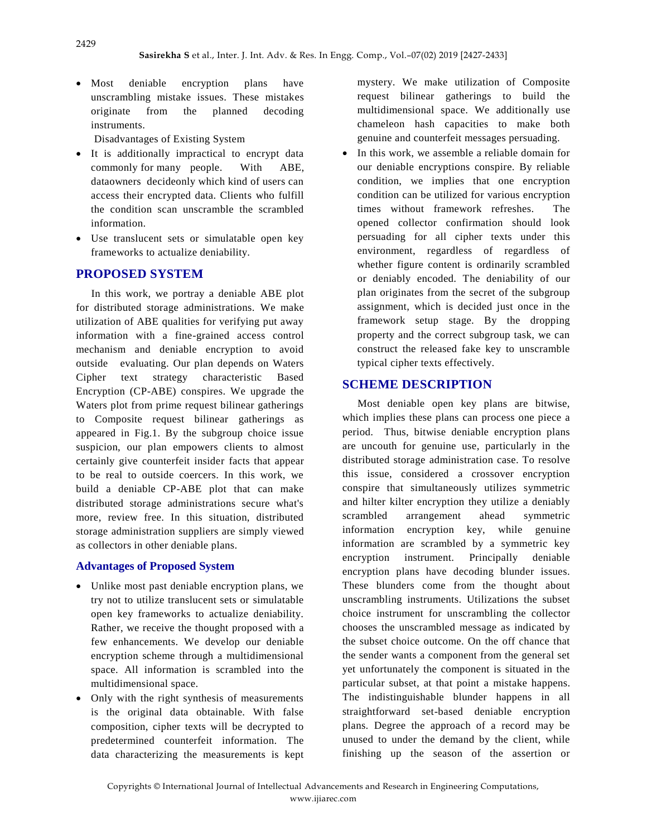• Most deniable encryption plans have unscrambling mistake issues. These mistakes originate from the planned decoding instruments.

Disadvantages of Existing System

- It is additionally impractical to encrypt data commonly for many people. With ABE, dataowners decideonly which kind of users can access their encrypted data. Clients who fulfill the condition scan unscramble the scrambled information.
- Use translucent sets or simulatable open key frameworks to actualize deniability.

## **PROPOSED SYSTEM**

In this work, we portray a deniable ABE plot for distributed storage administrations. We make utilization of ABE qualities for verifying put away information with a fine-grained access control mechanism and deniable encryption to avoid outside evaluating. Our plan depends on Waters Cipher text strategy characteristic Based Encryption (CP-ABE) conspires. We upgrade the Waters plot from prime request bilinear gatherings to Composite request bilinear gatherings as appeared in Fig.1. By the subgroup choice issue suspicion, our plan empowers clients to almost certainly give counterfeit insider facts that appear to be real to outside coercers. In this work, we build a deniable CP-ABE plot that can make distributed storage administrations secure what's more, review free. In this situation, distributed storage administration suppliers are simply viewed as collectors in other deniable plans.

#### **Advantages of Proposed System**

- Unlike most past deniable encryption plans, we try not to utilize translucent sets or simulatable open key frameworks to actualize deniability. Rather, we receive the thought proposed with a few enhancements. We develop our deniable encryption scheme through a multidimensional space. All information is scrambled into the multidimensional space.
- Only with the right synthesis of measurements is the original data obtainable. With false composition, cipher texts will be decrypted to predetermined counterfeit information. The data characterizing the measurements is kept

mystery. We make utilization of Composite request bilinear gatherings to build the multidimensional space. We additionally use chameleon hash capacities to make both genuine and counterfeit messages persuading.

• In this work, we assemble a reliable domain for our deniable encryptions conspire. By reliable condition, we implies that one encryption condition can be utilized for various encryption times without framework refreshes. The opened collector confirmation should look persuading for all cipher texts under this environment, regardless of regardless of whether figure content is ordinarily scrambled or deniably encoded. The deniability of our plan originates from the secret of the subgroup assignment, which is decided just once in the framework setup stage. By the dropping property and the correct subgroup task, we can construct the released fake key to unscramble typical cipher texts effectively.

## **SCHEME DESCRIPTION**

Most deniable open key plans are bitwise, which implies these plans can process one piece a period. Thus, bitwise deniable encryption plans are uncouth for genuine use, particularly in the distributed storage administration case. To resolve this issue, considered a crossover encryption conspire that simultaneously utilizes symmetric and hilter kilter encryption they utilize a deniably scrambled arrangement ahead symmetric information encryption key, while genuine information are scrambled by a symmetric key encryption instrument. Principally deniable encryption plans have decoding blunder issues. These blunders come from the thought about unscrambling instruments. Utilizations the subset choice instrument for unscrambling the collector chooses the unscrambled message as indicated by the subset choice outcome. On the off chance that the sender wants a component from the general set yet unfortunately the component is situated in the particular subset, at that point a mistake happens. The indistinguishable blunder happens in all straightforward set-based deniable encryption plans. Degree the approach of a record may be unused to under the demand by the client, while finishing up the season of the assertion or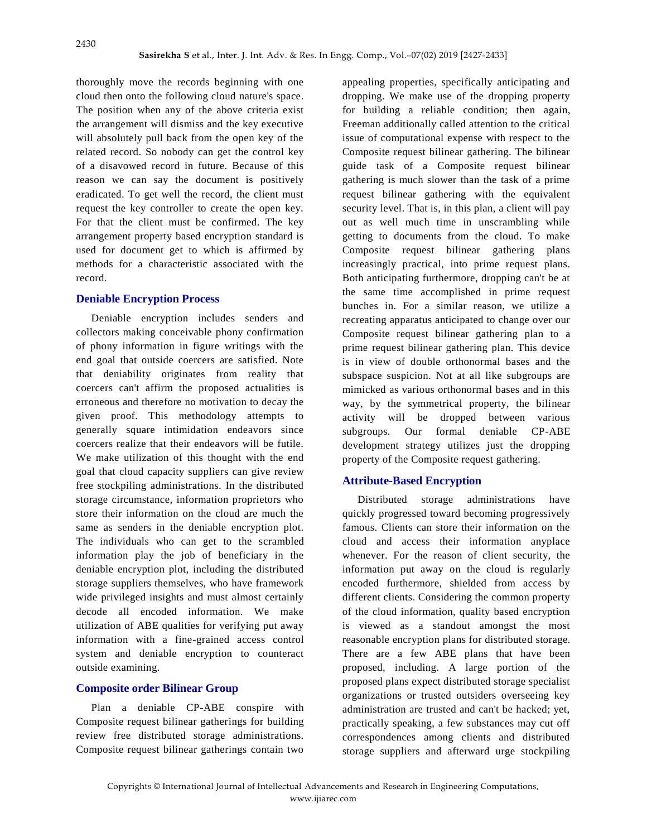thoroughly move the records beginning with one cloud then onto the following cloud nature's space. The position when any of the above criteria exist the arrangement will dismiss and the key executive will absolutely pull back from the open key of the related record. So nobody can get the control key of a disavowed record in future. Because of this reason we can say the document is positively eradicated. To get well the record, the client must request the key controller to create the open key. For that the client must be confirmed. The key arrangement property based encryption standard is used for document get to which is affirmed by methods for a characteristic associated with the record.

#### **Deniable Encryption Process**

Deniable encryption includes senders and collectors making conceivable phony confirmation of phony information in figure writings with the end goal that outside coercers are satisfied. Note that deniability originates from reality that coercers can't affirm the proposed actualities is erroneous and therefore no motivation to decay the given proof. This methodology attempts to generally square intimidation endeavors since coercers realize that their endeavors will be futile. We make utilization of this thought with the end goal that cloud capacity suppliers can give review free stockpiling administrations. In the distributed storage circumstance, information proprietors who store their information on the cloud are much the same as senders in the deniable encryption plot. The individuals who can get to the scrambled information play the job of beneficiary in the deniable encryption plot, including the distributed storage suppliers themselves, who have framework wide privileged insights and must almost certainly decode all encoded information. We make utilization of ABE qualities for verifying put away information with a fine-grained access control system and deniable encryption to counteract outside examining.

#### **Composite order Bilinear Group**

Plan a deniable CP-ABE conspire with Composite request bilinear gatherings for building review free distributed storage administrations. Composite request bilinear gatherings contain two

appealing properties, specifically anticipating and dropping. We make use of the dropping property for building a reliable condition; then again, Freeman additionally called attention to the critical issue of computational expense with respect to the Composite request bilinear gathering. The bilinear guide task of a Composite request bilinear gathering is much slower than the task of a prime request bilinear gathering with the equivalent security level. That is, in this plan, a client will pay out as well much time in unscrambling while getting to documents from the cloud. To make Composite request bilinear gathering plans increasingly practical, into prime request plans. Both anticipating furthermore, dropping can't be at the same time accomplished in prime request bunches in. For a similar reason, we utilize a recreating apparatus anticipated to change over our Composite request bilinear gathering plan to a prime request bilinear gathering plan. This device is in view of double orthonormal bases and the subspace suspicion. Not at all like subgroups are mimicked as various orthonormal bases and in this way, by the symmetrical property, the bilinear activity will be dropped between various subgroups. Our formal deniable CP-ABE development strategy utilizes just the dropping property of the Composite request gathering.

#### **Attribute-Based Encryption**

Distributed storage administrations have quickly progressed toward becoming progressively famous. Clients can store their information on the cloud and access their information anyplace whenever. For the reason of client security, the information put away on the cloud is regularly encoded furthermore, shielded from access by different clients. Considering the common property of the cloud information, quality based encryption is viewed as a standout amongst the most reasonable encryption plans for distributed storage. There are a few ABE plans that have been proposed, including. A large portion of the proposed plans expect distributed storage specialist organizations or trusted outsiders overseeing key administration are trusted and can't be hacked; yet, practically speaking, a few substances may cut off correspondences among clients and distributed storage suppliers and afterward urge stockpiling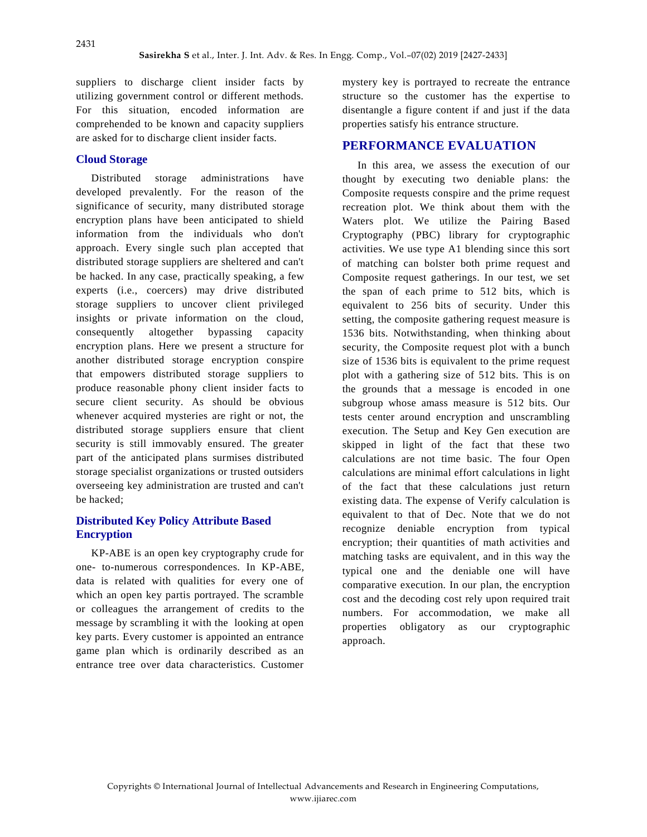suppliers to discharge client insider facts by utilizing government control or different methods. For this situation, encoded information are comprehended to be known and capacity suppliers are asked for to discharge client insider facts.

#### **Cloud Storage**

Distributed storage administrations have developed prevalently. For the reason of the significance of security, many distributed storage encryption plans have been anticipated to shield information from the individuals who don't approach. Every single such plan accepted that distributed storage suppliers are sheltered and can't be hacked. In any case, practically speaking, a few experts (i.e., coercers) may drive distributed storage suppliers to uncover client privileged insights or private information on the cloud, consequently altogether bypassing capacity encryption plans. Here we present a structure for another distributed storage encryption conspire that empowers distributed storage suppliers to produce reasonable phony client insider facts to secure client security. As should be obvious whenever acquired mysteries are right or not, the distributed storage suppliers ensure that client security is still immovably ensured. The greater part of the anticipated plans surmises distributed storage specialist organizations or trusted outsiders overseeing key administration are trusted and can't be hacked;

#### **Distributed Key Policy Attribute Based Encryption**

KP-ABE is an open key cryptography crude for one- to-numerous correspondences. In KP-ABE, data is related with qualities for every one of which an open key partis portrayed. The scramble or colleagues the arrangement of credits to the message by scrambling it with the looking at open key parts. Every customer is appointed an entrance game plan which is ordinarily described as an entrance tree over data characteristics. Customer

mystery key is portrayed to recreate the entrance structure so the customer has the expertise to disentangle a figure content if and just if the data properties satisfy his entrance structure.

#### **PERFORMANCE EVALUATION**

In this area, we assess the execution of our thought by executing two deniable plans: the Composite requests conspire and the prime request recreation plot. We think about them with the Waters plot. We utilize the Pairing Based Cryptography (PBC) library for cryptographic activities. We use type A1 blending since this sort of matching can bolster both prime request and Composite request gatherings. In our test, we set the span of each prime to 512 bits, which is equivalent to 256 bits of security. Under this setting, the composite gathering request measure is 1536 bits. Notwithstanding, when thinking about security, the Composite request plot with a bunch size of 1536 bits is equivalent to the prime request plot with a gathering size of 512 bits. This is on the grounds that a message is encoded in one subgroup whose amass measure is 512 bits. Our tests center around encryption and unscrambling execution. The Setup and Key Gen execution are skipped in light of the fact that these two calculations are not time basic. The four Open calculations are minimal effort calculations in light of the fact that these calculations just return existing data. The expense of Verify calculation is equivalent to that of Dec. Note that we do not recognize deniable encryption from typical encryption; their quantities of math activities and matching tasks are equivalent, and in this way the typical one and the deniable one will have comparative execution. In our plan, the encryption cost and the decoding cost rely upon required trait numbers. For accommodation, we make all properties obligatory as our cryptographic approach.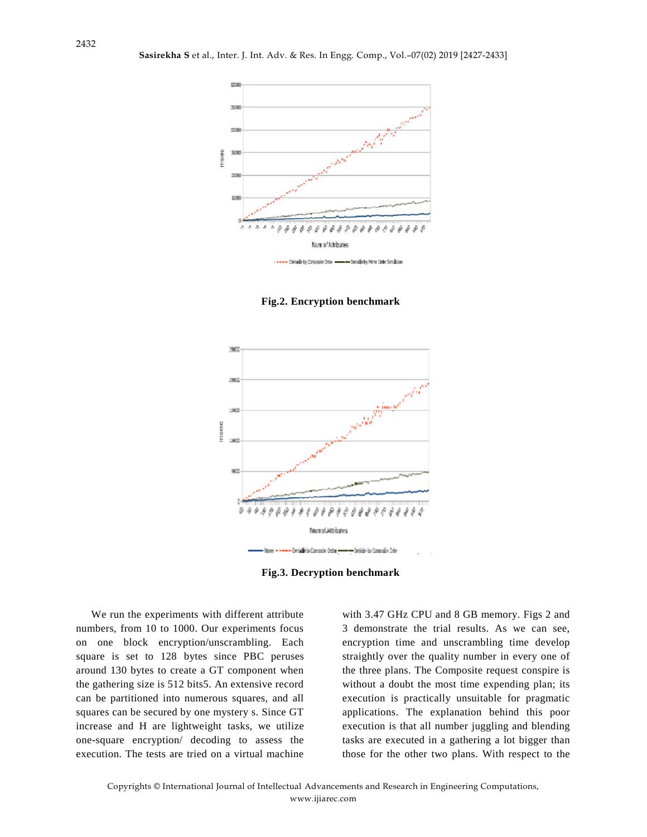

**Fig.2. Encryption benchmark**



**Fig.3. Decryption benchmark**

We run the experiments with different attribute numbers, from 10 to 1000. Our experiments focus on one block encryption/unscrambling. Each square is set to 128 bytes since PBC peruses around 130 bytes to create a GT component when the gathering size is 512 bits5. An extensive record can be partitioned into numerous squares, and all squares can be secured by one mystery s. Since GT increase and H are lightweight tasks, we utilize one-square encryption/ decoding to assess the execution. The tests are tried on a virtual machine with 3.47 GHz CPU and 8 GB memory. Figs 2 and 3 demonstrate the trial results. As we can see, encryption time and unscrambling time develop straightly over the quality number in every one of the three plans. The Composite request conspire is without a doubt the most time expending plan; its execution is practically unsuitable for pragmatic applications. The explanation behind this poor execution is that all number juggling and blending tasks are executed in a gathering a lot bigger than those for the other two plans. With respect to the